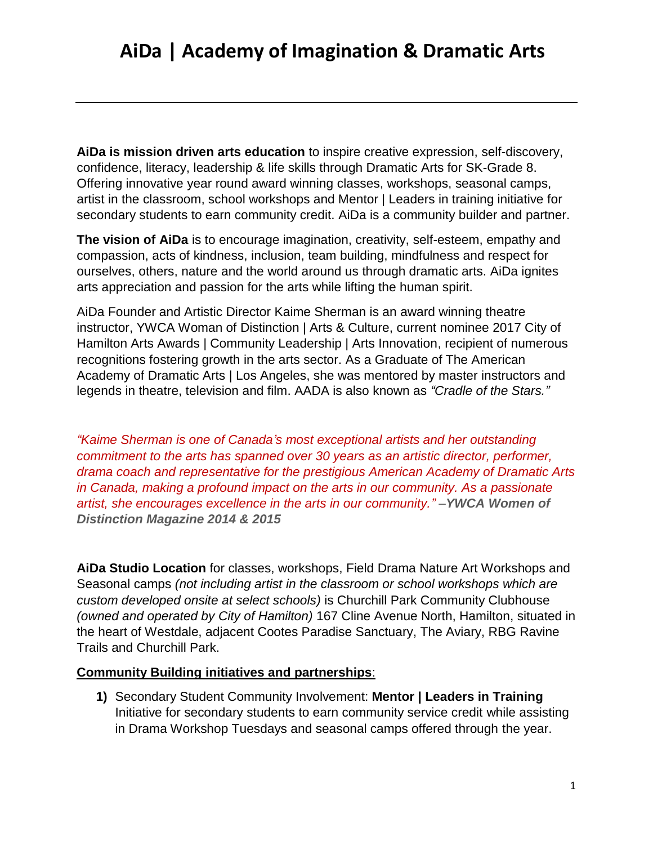**AiDa is mission driven arts education** to inspire creative expression, self-discovery, confidence, literacy, leadership & life skills through Dramatic Arts for SK-Grade 8. Offering innovative year round award winning classes, workshops, seasonal camps, artist in the classroom, school workshops and Mentor | Leaders in training initiative for secondary students to earn community credit. AiDa is a community builder and partner.

**The vision of AiDa** is to encourage imagination, creativity, self-esteem, empathy and compassion, acts of kindness, inclusion, team building, mindfulness and respect for ourselves, others, nature and the world around us through dramatic arts. AiDa ignites arts appreciation and passion for the arts while lifting the human spirit.

AiDa Founder and Artistic Director Kaime Sherman is an award winning theatre instructor, YWCA Woman of Distinction | Arts & Culture, current nominee 2017 City of Hamilton Arts Awards | Community Leadership | Arts Innovation, recipient of numerous recognitions fostering growth in the arts sector. As a Graduate of The American Academy of Dramatic Arts | Los Angeles, she was mentored by master instructors and legends in theatre, television and film. AADA is also known as *"Cradle of the Stars."*

*"Kaime Sherman is one of Canada's most exceptional artists and her outstanding commitment to the arts has spanned over 30 years as an artistic director, performer, drama coach and representative for the prestigious American Academy of Dramatic Arts in Canada, making a profound impact on the arts in our community. As a passionate artist, she encourages excellence in the arts in our community." –YWCA Women of Distinction Magazine 2014 & 2015*

**AiDa Studio Location** for classes, workshops, Field Drama Nature Art Workshops and Seasonal camps *(not including artist in the classroom or school workshops which are custom developed onsite at select schools)* is Churchill Park Community Clubhouse *(owned and operated by City of Hamilton)* 167 Cline Avenue North, Hamilton, situated in the heart of Westdale, adjacent Cootes Paradise Sanctuary, The Aviary, RBG Ravine Trails and Churchill Park.

#### **Community Building initiatives and partnerships**:

**1)** Secondary Student Community Involvement: **Mentor | Leaders in Training** Initiative for secondary students to earn community service credit while assisting in Drama Workshop Tuesdays and seasonal camps offered through the year.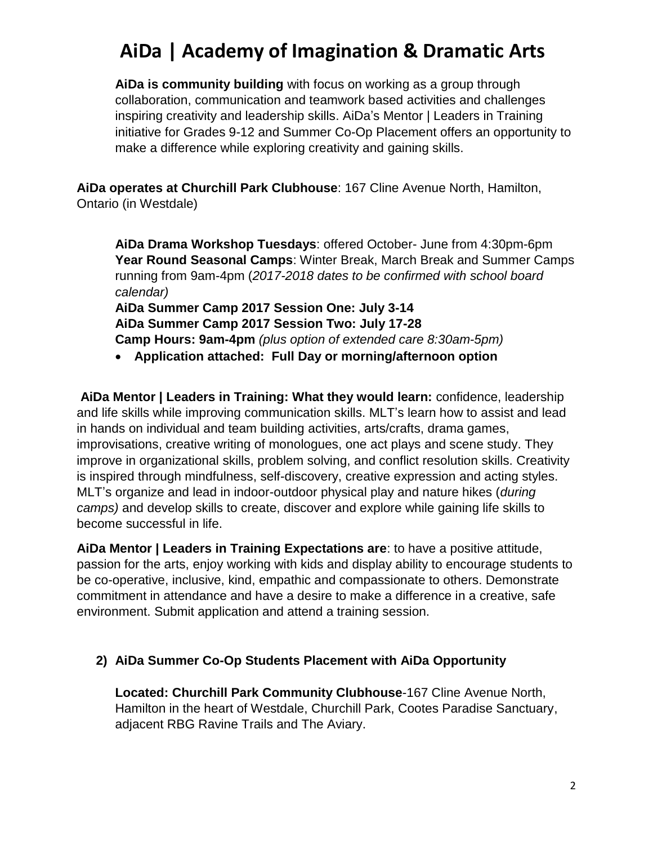**AiDa is community building** with focus on working as a group through collaboration, communication and teamwork based activities and challenges inspiring creativity and leadership skills. AiDa's Mentor | Leaders in Training initiative for Grades 9-12 and Summer Co-Op Placement offers an opportunity to make a difference while exploring creativity and gaining skills.

**AiDa operates at Churchill Park Clubhouse**: 167 Cline Avenue North, Hamilton, Ontario (in Westdale)

**AiDa Drama Workshop Tuesdays**: offered October- June from 4:30pm-6pm **Year Round Seasonal Camps**: Winter Break, March Break and Summer Camps running from 9am-4pm (*2017-2018 dates to be confirmed with school board calendar)* **AiDa Summer Camp 2017 Session One: July 3-14**

**AiDa Summer Camp 2017 Session Two: July 17-28 Camp Hours: 9am-4pm** *(plus option of extended care 8:30am-5pm)*

**Application attached: Full Day or morning/afternoon option**

**AiDa Mentor | Leaders in Training: What they would learn:** confidence, leadership and life skills while improving communication skills. MLT's learn how to assist and lead in hands on individual and team building activities, arts/crafts, drama games, improvisations, creative writing of monologues, one act plays and scene study. They improve in organizational skills, problem solving, and conflict resolution skills. Creativity is inspired through mindfulness, self-discovery, creative expression and acting styles. MLT's organize and lead in indoor-outdoor physical play and nature hikes (*during camps)* and develop skills to create, discover and explore while gaining life skills to become successful in life.

**AiDa Mentor | Leaders in Training Expectations are**: to have a positive attitude, passion for the arts, enjoy working with kids and display ability to encourage students to be co-operative, inclusive, kind, empathic and compassionate to others. Demonstrate commitment in attendance and have a desire to make a difference in a creative, safe environment. Submit application and attend a training session.

### **2) AiDa Summer Co-Op Students Placement with AiDa Opportunity**

**Located: Churchill Park Community Clubhouse**-167 Cline Avenue North, Hamilton in the heart of Westdale, Churchill Park, Cootes Paradise Sanctuary, adjacent RBG Ravine Trails and The Aviary.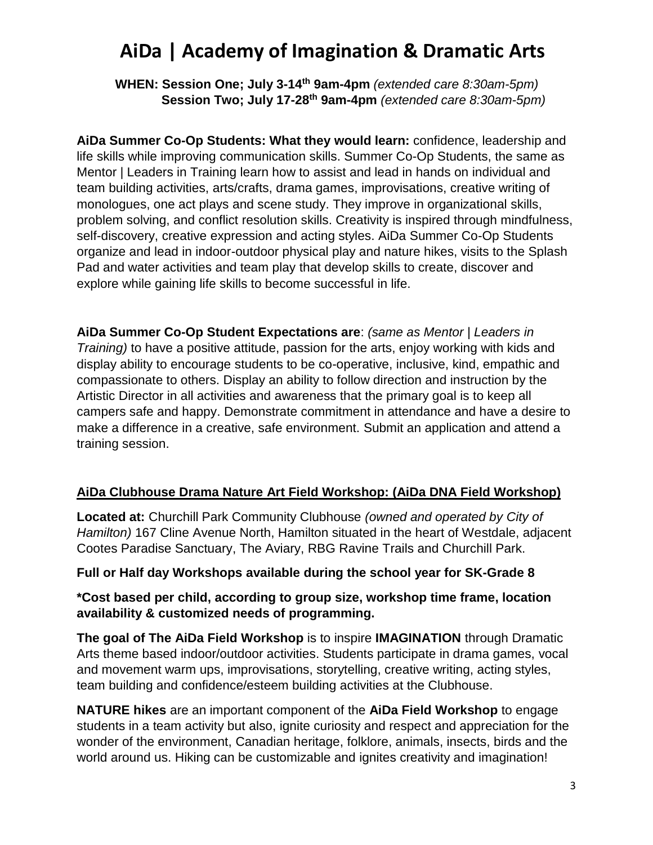**WHEN: Session One; July 3-14th 9am-4pm** *(extended care 8:30am-5pm)*  **Session Two; July 17-28th 9am-4pm** *(extended care 8:30am-5pm)*

**AiDa Summer Co-Op Students: What they would learn:** confidence, leadership and life skills while improving communication skills. Summer Co-Op Students, the same as Mentor | Leaders in Training learn how to assist and lead in hands on individual and team building activities, arts/crafts, drama games, improvisations, creative writing of monologues, one act plays and scene study. They improve in organizational skills, problem solving, and conflict resolution skills. Creativity is inspired through mindfulness, self-discovery, creative expression and acting styles. AiDa Summer Co-Op Students organize and lead in indoor-outdoor physical play and nature hikes, visits to the Splash Pad and water activities and team play that develop skills to create, discover and explore while gaining life skills to become successful in life.

**AiDa Summer Co-Op Student Expectations are**: *(same as Mentor | Leaders in Training)* to have a positive attitude, passion for the arts, enjoy working with kids and display ability to encourage students to be co-operative, inclusive, kind, empathic and compassionate to others. Display an ability to follow direction and instruction by the Artistic Director in all activities and awareness that the primary goal is to keep all campers safe and happy. Demonstrate commitment in attendance and have a desire to make a difference in a creative, safe environment. Submit an application and attend a training session.

### **AiDa Clubhouse Drama Nature Art Field Workshop: (AiDa DNA Field Workshop)**

**Located at:** Churchill Park Community Clubhouse *(owned and operated by City of Hamilton)* 167 Cline Avenue North, Hamilton situated in the heart of Westdale, adjacent Cootes Paradise Sanctuary, The Aviary, RBG Ravine Trails and Churchill Park.

### **Full or Half day Workshops available during the school year for SK-Grade 8**

### **\*Cost based per child, according to group size, workshop time frame, location availability & customized needs of programming.**

**The goal of The AiDa Field Workshop** is to inspire **IMAGINATION** through Dramatic Arts theme based indoor/outdoor activities. Students participate in drama games, vocal and movement warm ups, improvisations, storytelling, creative writing, acting styles, team building and confidence/esteem building activities at the Clubhouse.

**NATURE hikes** are an important component of the **AiDa Field Workshop** to engage students in a team activity but also, ignite curiosity and respect and appreciation for the wonder of the environment, Canadian heritage, folklore, animals, insects, birds and the world around us. Hiking can be customizable and ignites creativity and imagination!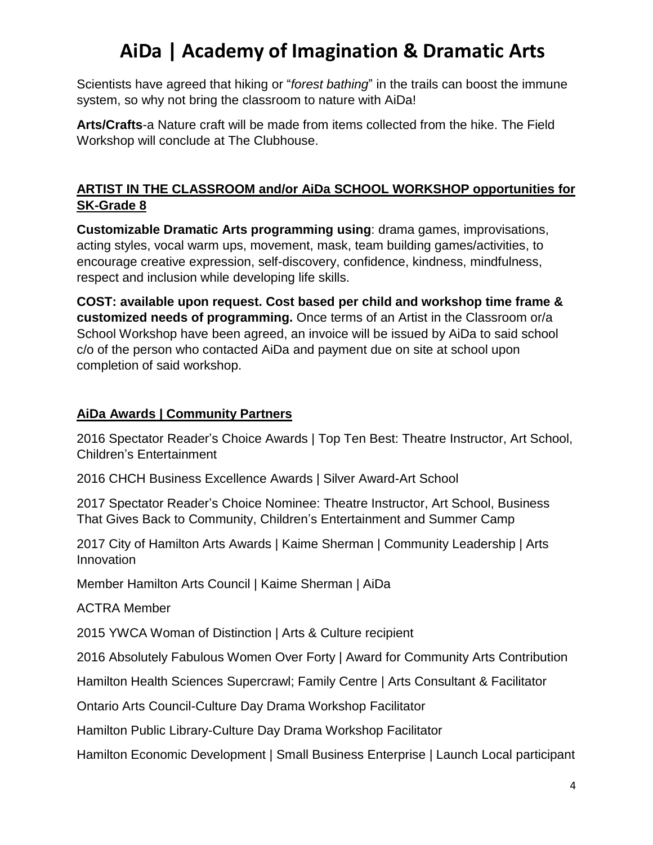Scientists have agreed that hiking or "*forest bathing*" in the trails can boost the immune system, so why not bring the classroom to nature with AiDa!

**Arts/Crafts**-a Nature craft will be made from items collected from the hike. The Field Workshop will conclude at The Clubhouse.

### **ARTIST IN THE CLASSROOM and/or AiDa SCHOOL WORKSHOP opportunities for SK-Grade 8**

**Customizable Dramatic Arts programming using**: drama games, improvisations, acting styles, vocal warm ups, movement, mask, team building games/activities, to encourage creative expression, self-discovery, confidence, kindness, mindfulness, respect and inclusion while developing life skills.

**COST: available upon request. Cost based per child and workshop time frame & customized needs of programming.** Once terms of an Artist in the Classroom or/a School Workshop have been agreed, an invoice will be issued by AiDa to said school c/o of the person who contacted AiDa and payment due on site at school upon completion of said workshop.

### **AiDa Awards | Community Partners**

2016 Spectator Reader's Choice Awards | Top Ten Best: Theatre Instructor, Art School, Children's Entertainment

2016 CHCH Business Excellence Awards | Silver Award-Art School

2017 Spectator Reader's Choice Nominee: Theatre Instructor, Art School, Business That Gives Back to Community, Children's Entertainment and Summer Camp

2017 City of Hamilton Arts Awards | Kaime Sherman | Community Leadership | Arts Innovation

Member Hamilton Arts Council | Kaime Sherman | AiDa

ACTRA Member

2015 YWCA Woman of Distinction | Arts & Culture recipient

2016 Absolutely Fabulous Women Over Forty | Award for Community Arts Contribution

Hamilton Health Sciences Supercrawl; Family Centre | Arts Consultant & Facilitator

Ontario Arts Council-Culture Day Drama Workshop Facilitator

Hamilton Public Library-Culture Day Drama Workshop Facilitator

Hamilton Economic Development | Small Business Enterprise | Launch Local participant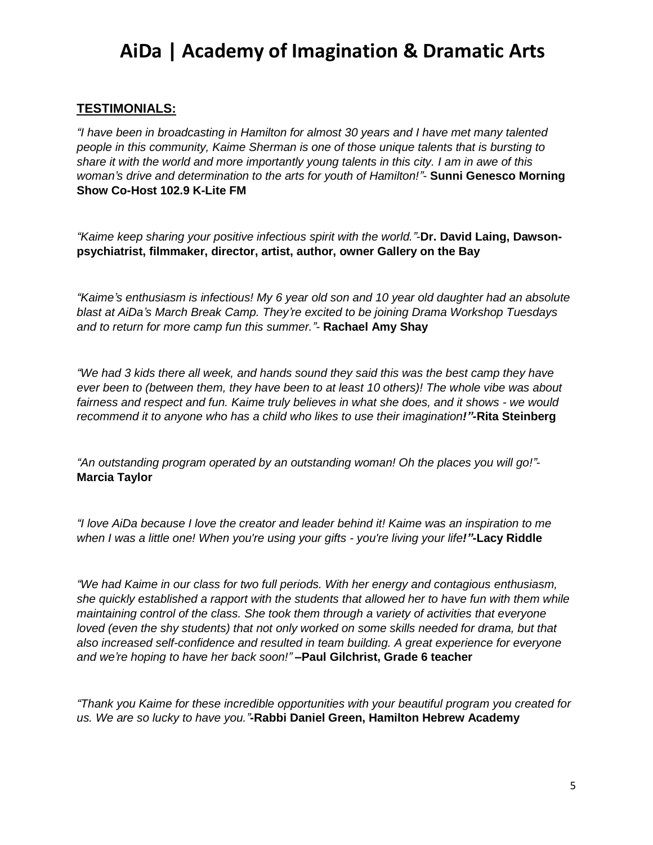#### **TESTIMONIALS:**

*"I have been in broadcasting in Hamilton for almost 30 years and I have met many talented people in this community, Kaime Sherman is one of those unique talents that is bursting to share it with the world and more importantly young talents in this city. I am in awe of this woman's drive and determination to the arts for youth of Hamilton!"-* **Sunni Genesco Morning Show Co-Host 102.9 K-Lite FM**

*"Kaime keep sharing your positive infectious spirit with the world."-***Dr. David Laing, Dawsonpsychiatrist, filmmaker, director, artist, author, owner Gallery on the Bay** 

*"Kaime's enthusiasm is infectious! My 6 year old son and 10 year old daughter had an absolute blast at AiDa's March Break Camp. They're excited to be joining Drama Workshop Tuesdays and to return for more camp fun this summer."-* **Rachael Amy Shay**

*"We had 3 kids there all week, and hands sound they said this was the best camp they have ever been to (between them, they have been to at least 10 others)! The whole vibe was about fairness and respect and fun. Kaime truly believes in what she does, and it shows - we would recommend it to anyone who has a child who likes to use their imagination!"-***Rita Steinberg**

*"An outstanding program operated by an outstanding woman! Oh the places you will go!"-* **Marcia Taylor**

*"I love AiDa because I love the creator and leader behind it! Kaime was an inspiration to me when I was a little one! When you're using your gifts - you're living your life!"-***Lacy Riddle**

*"We had Kaime in our class for two full periods. With her energy and contagious enthusiasm, she quickly established a rapport with the students that allowed her to have fun with them while maintaining control of the class. She took them through a variety of activities that everyone loved (even the shy students) that not only worked on some skills needed for drama, but that also increased self-confidence and resulted in team building. A great experience for everyone and we're hoping to have her back soon!"* **–Paul Gilchrist, Grade 6 teacher**

*"Thank you Kaime for these incredible opportunities with your beautiful program you created for us. We are so lucky to have you."***-Rabbi Daniel Green, Hamilton Hebrew Academy**